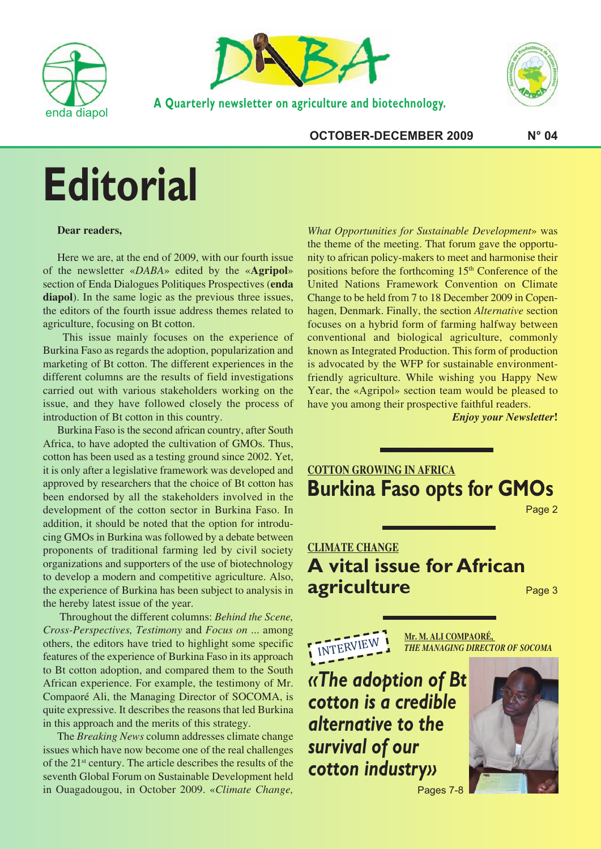



**A Quarterly newsletter on agriculture and biotechnology.**



**OCTOBER-DECEMBER 2009 N° 04**

# **Editorial**

#### **Dear readers,**

Here we are, at the end of 2009, with our fourth issue of the newsletter «*DABA*» edited by the «**Agripol**» section of Enda Dialogues Politiques Prospectives (**enda diapol**). In the same logic as the previous three issues, the editors of the fourth issue address themes related to agriculture, focusing on Bt cotton.

This issue mainly focuses on the experience of Burkina Faso as regards the adoption, popularization and marketing of Bt cotton. The different experiences in the different columns are the results of field investigations carried out with various stakeholders working on the issue, and they have followed closely the process of introduction of Bt cotton in this country.

Burkina Faso is the second african country, after South Africa, to have adopted the cultivation of GMOs. Thus, cotton has been used as a testing ground since 2002. Yet, it is only after a legislative framework was developed and approved by researchers that the choice of Bt cotton has been endorsed by all the stakeholders involved in the development of the cotton sector in Burkina Faso. In addition, it should be noted that the option for introducing GMOs in Burkina was followed by a debate between proponents of traditional farming led by civil society organizations and supporters of the use of biotechnology to develop a modern and competitive agriculture. Also, the experience of Burkina has been subject to analysis in the hereby latest issue of the year.

Throughout the different columns: *Behind the Scene, Cross-Perspectives, Testimony* and *Focus on* ... among others, the editors have tried to highlight some specific features of the experience of Burkina Faso in its approach to Bt cotton adoption, and compared them to the South African experience. For example, the testimony of Mr. Compaoré Ali, the Managing Director of SOCOMA, is quite expressive. It describes the reasons that led Burkina in this approach and the merits of this strategy.

The *Breaking News* column addresses climate change issues which have now become one of the real challenges of the 21st century. The article describes the results of the seventh Global Forum on Sustainable Development held in Ouagadougou, in October 2009. «*Climate Change,*

*What Opportunities for Sustainable Development*» was the theme of the meeting. That forum gave the opportunity to african policy-makers to meet and harmonise their positions before the forthcoming 15<sup>th</sup> Conference of the United Nations Framework Convention on Climate Change to be held from 7 to 18 December 2009 in Copenhagen, Denmark. Finally, the section *Alternative* section focuses on a hybrid form of farming halfway between conventional and biological agriculture, commonly known as Integrated Production. This form of production is advocated by the WFP for sustainable environmentfriendly agriculture. While wishing you Happy New Year, the «Agripol» section team would be pleased to have you among their prospective faithful readers.

*Enjoy your Newsletter***!**

### **COTTON GROWING IN AFRICA Burkina Faso opts for GMOs**

Page 2

## **CLIMATE CHANGE A vital issue for African agriculture**

Page 3

INTERVIEW

**Mr. M. ALI COMPAORÉ,** *THE MANAGING DIRECTOR OF SOCOMA*

## *«The adoption of Bt cotton is a credible alternative to the survival of our cotton industry»* Pages 7-8

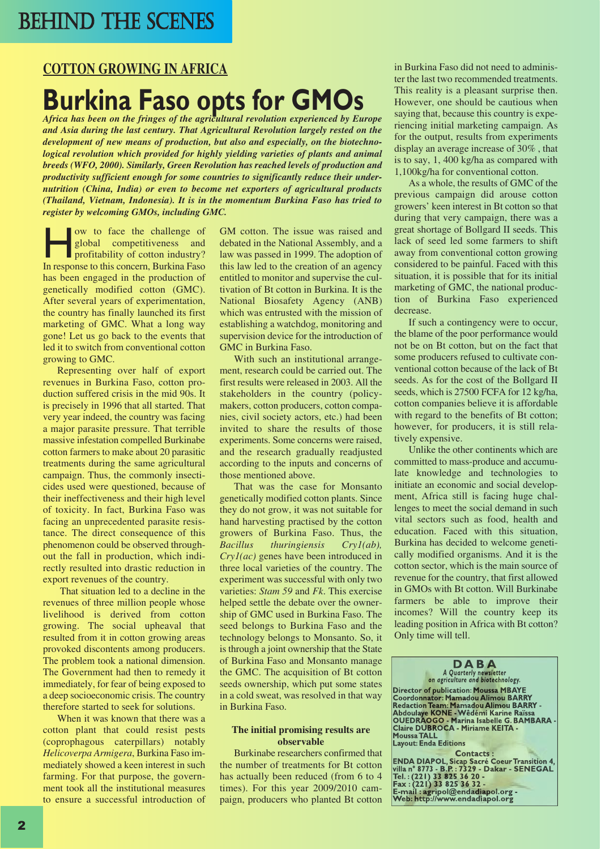# BEHIND THE SCENES

#### **COTTON GROWING IN AFRICA**

# **Burkina Faso opts for GMOS**<br>Africa has been on the fringes of the agricultural revolution experienced by Europe

*and Asia during the last century. That Agricultural Revolution largely rested on the development of new means of production, but also and especially, on the biotechnological revolution which provided for highly yielding varieties of plants and animal breeds (WFO, 2000). Similarly, Green Revolution has reached levels of production and productivity sufficient enough for some countries to significantly reduce their undernutrition (China, India) or even to become net exporters of agricultural products (Thailand, Vietnam, Indonesia). It is in the momentum Burkina Faso has tried to register by welcoming GMOs, including GMC.*

ow to face the challenge of<br>global competitiveness and<br>profitability of cotton industry?<br>In response to this concern Burkina Faso global competitiveness and profitability of cotton industry? In response to this concern, Burkina Faso has been engaged in the production of genetically modified cotton (GMC). After several years of experimentation, the country has finally launched its first marketing of GMC. What a long way gone! Let us go back to the events that led it to switch from conventional cotton growing to GMC.

Representing over half of export revenues in Burkina Faso, cotton production suffered crisis in the mid 90s. It is precisely in 1996 that all started. That very year indeed, the country was facing a major parasite pressure. That terrible massive infestation compelled Burkinabe cotton farmers to make about 20 parasitic treatments during the same agricultural campaign. Thus, the commonly insecticides used were questioned, because of their ineffectiveness and their high level of toxicity. In fact, Burkina Faso was facing an unprecedented parasite resistance. The direct consequence of this phenomenon could be observed throughout the fall in production, which indirectly resulted into drastic reduction in export revenues of the country.

That situation led to a decline in the revenues of three million people whose livelihood is derived from cotton growing. The social upheaval that resulted from it in cotton growing areas provoked discontents among producers. The problem took a national dimension. The Government had then to remedy it immediately, for fear of being exposed to a deep socioeconomic crisis. The country therefore started to seek for solutions.

When it was known that there was a cotton plant that could resist pests (coprophagous caterpillars) notably *Helicoverpa Armigera*, Burkina Faso immediately showed a keen interest in such farming. For that purpose, the government took all the institutional measures to ensure a successful introduction of GM cotton. The issue was raised and debated in the National Assembly, and a law was passed in 1999. The adoption of this law led to the creation of an agency entitled to monitor and supervise the cultivation of Bt cotton in Burkina. It is the National Biosafety Agency (ANB) which was entrusted with the mission of establishing a watchdog, monitoring and supervision device for the introduction of GMC in Burkina Faso.

With such an institutional arrangement, research could be carried out. The first results were released in 2003. All the stakeholders in the country (policymakers, cotton producers, cotton companies, civil society actors, etc.) had been invited to share the results of those experiments. Some concerns were raised, and the research gradually readjusted according to the inputs and concerns of those mentioned above.

That was the case for Monsanto genetically modified cotton plants. Since they do not grow, it was not suitable for hand harvesting practised by the cotton growers of Burkina Faso. Thus, the *Bacillus thuringiensis Cry1(ab), Cry1(ac)* genes have been introduced in three local varieties of the country. The experiment was successful with only two varieties: *Stam 59* and *Fk*. This exercise helped settle the debate over the ownership of GMC used in Burkina Faso. The seed belongs to Burkina Faso and the technology belongs to Monsanto. So, it is through a joint ownership that the State of Burkina Faso and Monsanto manage the GMC. The acquisition of Bt cotton seeds ownership, which put some states in a cold sweat, was resolved in that way in Burkina Faso.

#### **The initial promising results are observable**

Burkinabe researchers confirmed that the number of treatments for Bt cotton has actually been reduced (from 6 to 4 times). For this year 2009/2010 campaign, producers who planted Bt cotton

in Burkina Faso did not need to administer the last two recommended treatments. This reality is a pleasant surprise then. However, one should be cautious when saying that, because this country is experiencing initial marketing campaign. As for the output, results from experiments display an average increase of 30% , that is to say, 1, 400 kg/ha as compared with 1,100kg/ha for conventional cotton.

As a whole, the results of GMC of the previous campaign did arouse cotton growers' keen interest in Bt cotton so that during that very campaign, there was a great shortage of Bollgard II seeds. This lack of seed led some farmers to shift away from conventional cotton growing considered to be painful. Faced with this situation, it is possible that for its initial marketing of GMC, the national production of Burkina Faso experienced decrease.

If such a contingency were to occur, the blame of the poor performance would not be on Bt cotton, but on the fact that some producers refused to cultivate conventional cotton because of the lack of Bt seeds. As for the cost of the Bollgard II seeds, which is 27500 FCFA for 12 kg/ha, cotton companies believe it is affordable with regard to the benefits of Bt cotton: however, for producers, it is still relatively expensive.

Unlike the other continents which are committed to mass-produce and accumulate knowledge and technologies to initiate an economic and social development, Africa still is facing huge challenges to meet the social demand in such vital sectors such as food, health and education. Faced with this situation, Burkina has decided to welcome genetically modified organisms. And it is the cotton sector, which is the main source of revenue for the country, that first allowed in GMOs with Bt cotton. Will Burkinabe farmers be able to improve their incomes? Will the country keep its leading position in Africa with Bt cotton? Only time will tell.

**D A B A** *A Quarterly newsletter on agriculture and biotechnology.* **Director of publication: Moussa MBAYE** Coordonnator: Mamadou Alimou BARRY<br>Redaction Team: Mamadou Alimou BARRY<br>Abdoulaye KONE - Wêdémi Karine Raïssa<br>OUEDRAOGO - Marina Isabelle G. BAMBARA -<br>Claire DUBROCA - Miriame KEITA -**MoussaTALL Layout: Enda Editions** Contacts :<br>
Contacts :<br>
FRIDA DIAPOL, Sicap Sacré Coeur Transition 4,<br>
Villa n° 8773 - B.P. : 7329 - Dakar - SENEGAL<br>
Tel. : (221) 33 825 36 20 -<br>
E-mail : agripol@endadiapol.org -<br>
Web: http://www.endadiapol.org

2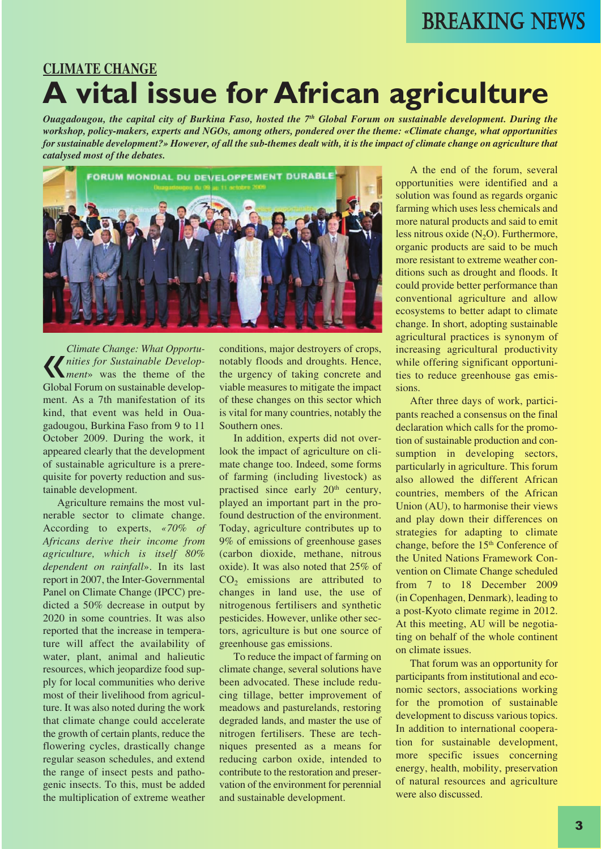# **CLIMATE CHANGE A vital issue for African agriculture**

Ouagadougou, the capital city of Burkina Faso, hosted the  $7<sup>th</sup>$  Global Forum on sustainable development. During the *workshop, policy-makers, experts and NGOs, among others, pondered over the theme: «Climate change, what opportunities* for sustainable development?» However, of all the sub-themes dealt with, it is the impact of climate change on agriculture that *catalysed most of the debates.*



« *Climate Change: What Opportunities for Sustainable Development*» was the theme of the Global Forum on sustainable development. As a 7th manifestation of its kind, that event was held in Ouagadougou, Burkina Faso from 9 to 11 October 2009. During the work, it appeared clearly that the development of sustainable agriculture is a prerequisite for poverty reduction and sustainable development.

Agriculture remains the most vulnerable sector to climate change. According to experts, *«70% of Africans derive their income from agriculture, which is itself 80% dependent on rainfall*». In its last report in 2007, the Inter-Governmental Panel on Climate Change (IPCC) predicted a 50% decrease in output by 2020 in some countries. It was also reported that the increase in temperature will affect the availability of water, plant, animal and halieutic resources, which jeopardize food supply for local communities who derive most of their livelihood from agriculture. It was also noted during the work that climate change could accelerate the growth of certain plants, reduce the flowering cycles, drastically change regular season schedules, and extend the range of insect pests and pathogenic insects. To this, must be added the multiplication of extreme weather

conditions, major destroyers of crops, notably floods and droughts. Hence, the urgency of taking concrete and viable measures to mitigate the impact of these changes on this sector which is vital for many countries, notably the Southern ones.

In addition, experts did not overlook the impact of agriculture on climate change too. Indeed, some forms of farming (including livestock) as practised since early 20<sup>th</sup> century, played an important part in the profound destruction of the environment. Today, agriculture contributes up to 9% of emissions of greenhouse gases (carbon dioxide, methane, nitrous oxide). It was also noted that 25% of CO<sub>2</sub> emissions are attributed to changes in land use, the use of nitrogenous fertilisers and synthetic pesticides. However, unlike other sectors, agriculture is but one source of greenhouse gas emissions.

To reduce the impact of farming on climate change, several solutions have been advocated. These include reducing tillage, better improvement of meadows and pasturelands, restoring degraded lands, and master the use of nitrogen fertilisers. These are techniques presented as a means for reducing carbon oxide, intended to contribute to the restoration and preservation of the environment for perennial and sustainable development.

A the end of the forum, several opportunities were identified and a solution was found as regards organic farming which uses less chemicals and more natural products and said to emit less nitrous oxide  $(N_2O)$ . Furthermore, organic products are said to be much more resistant to extreme weather conditions such as drought and floods. It could provide better performance than conventional agriculture and allow ecosystems to better adapt to climate change. In short, adopting sustainable agricultural practices is synonym of increasing agricultural productivity while offering significant opportunities to reduce greenhouse gas emissions.

After three days of work, participants reached a consensus on the final declaration which calls for the promotion of sustainable production and consumption in developing sectors, particularly in agriculture. This forum also allowed the different African countries, members of the African Union (AU), to harmonise their views and play down their differences on strategies for adapting to climate change, before the 15<sup>th</sup> Conference of the United Nations Framework Convention on Climate Change scheduled from 7 to 18 December 2009 (in Copenhagen, Denmark), leading to a post-Kyoto climate regime in 2012. At this meeting, AU will be negotiating on behalf of the whole continent on climate issues.

That forum was an opportunity for participants from institutional and economic sectors, associations working for the promotion of sustainable development to discuss various topics. In addition to international cooperation for sustainable development, more specific issues concerning energy, health, mobility, preservation of natural resources and agriculture were also discussed.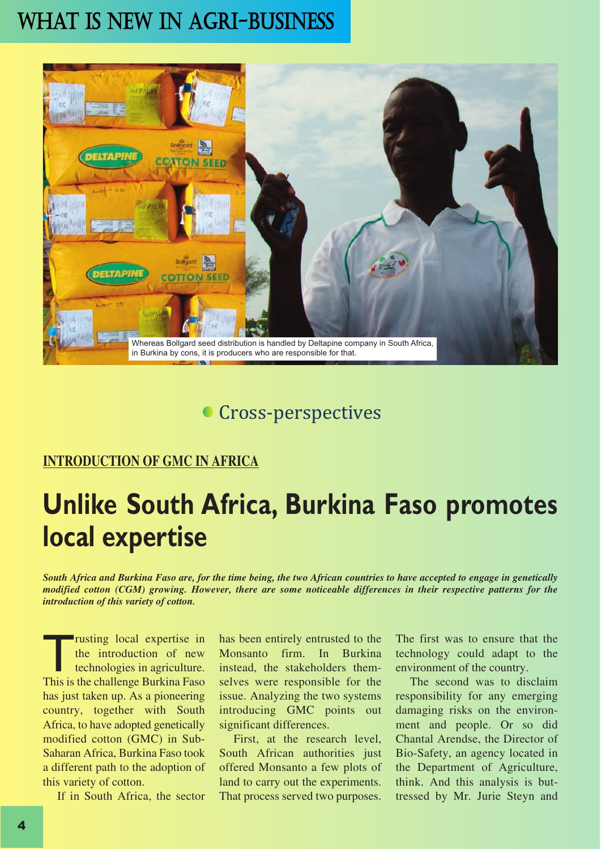

## **Cross-perspectives**

#### **INTRODUCTION OF GMC IN AFRICA**

# **Unlike South Africa, Burkina Faso promotes local expertise**

South Africa and Burkina Faso are, for the time being, the two African countries to have accepted to engage in genetically modified cotton (CGM) growing. However, there are some noticeable differences in their respective patterns for the *introduction of this variety of cotton.*

Trusting local expertise in the introduction of new technologies in agriculture. This is the challenge Burkina Faso has just taken up. As a pioneering country, together with South Africa, to have adopted genetically modified cotton (GMC) in Sub-Saharan Africa, Burkina Faso took a different path to the adoption of this variety of cotton.

If in South Africa, the sector

has been entirely entrusted to the Monsanto firm. In Burkina instead, the stakeholders themselves were responsible for the issue. Analyzing the two systems introducing GMC points out significant differences.

First, at the research level, South African authorities just offered Monsanto a few plots of land to carry out the experiments. That process served two purposes.

The first was to ensure that the technology could adapt to the environment of the country.

The second was to disclaim responsibility for any emerging damaging risks on the environment and people. Or so did Chantal Arendse, the Director of Bio-Safety, an agency located in the Department of Agriculture, think. And this analysis is buttressed by Mr. Jurie Steyn and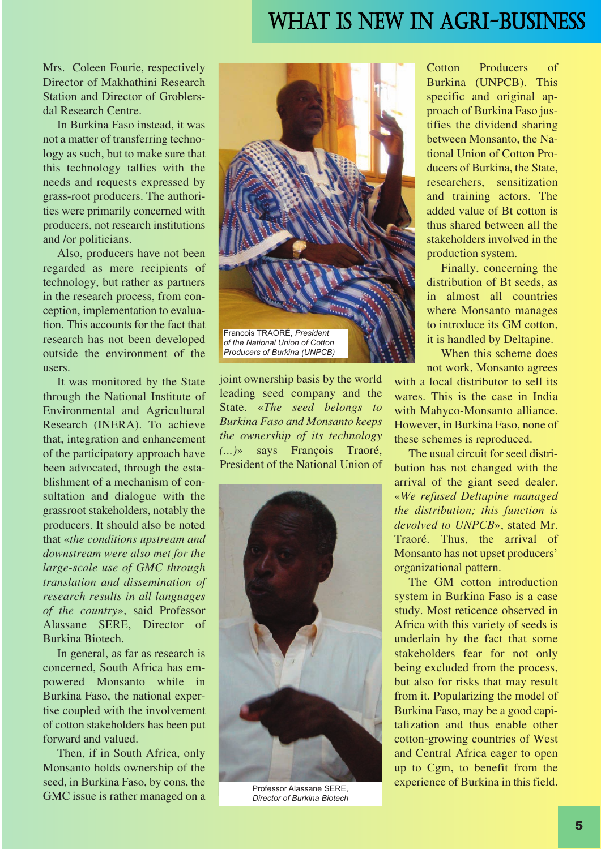Mrs. Coleen Fourie, respectively Director of Makhathini Research Station and Director of Groblersdal Research Centre.

In Burkina Faso instead, it was not a matter of transferring technology as such, but to make sure that this technology tallies with the needs and requests expressed by grass-root producers. The authorities were primarily concerned with producers, not research institutions and /or politicians.

Also, producers have not been regarded as mere recipients of technology, but rather as partners in the research process, from conception, implementation to evaluation. This accounts for the fact that research has not been developed outside the environment of the users.

It was monitored by the State through the National Institute of Environmental and Agricultural Research (INERA). To achieve that, integration and enhancement of the participatory approach have been advocated, through the establishment of a mechanism of consultation and dialogue with the grassroot stakeholders, notably the producers. It should also be noted that «*the conditions upstream and downstream were also met for the large-scale use of GMC through translation and dissemination of research results in all languages of the country*», said Professor Alassane SERE, Director of Burkina Biotech.

In general, as far as research is concerned, South Africa has empowered Monsanto while in Burkina Faso, the national expertise coupled with the involvement of cotton stakeholders has been put forward and valued.

Then, if in South Africa, only Monsanto holds ownership of the seed, in Burkina Faso, by cons, the GMC issue is rather managed on a



joint ownership basis by the world leading seed company and the State. «*The seed belongs to Burkina Faso and Monsanto keeps the ownership of its technology (...)*» says François Traoré, President of the National Union of



Professor Alassane SERE, *Director of Burkina Biotech*

Cotton Producers of Burkina (UNPCB). This specific and original approach of Burkina Faso justifies the dividend sharing between Monsanto, the National Union of Cotton Producers of Burkina, the State, researchers, sensitization and training actors. The added value of Bt cotton is thus shared between all the stakeholders involved in the production system.

Finally, concerning the distribution of Bt seeds, as in almost all countries where Monsanto manages to introduce its GM cotton, it is handled by Deltapine.

When this scheme does not work, Monsanto agrees

with a local distributor to sell its wares. This is the case in India with Mahyco-Monsanto alliance. However, in Burkina Faso, none of these schemes is reproduced.

The usual circuit for seed distribution has not changed with the arrival of the giant seed dealer. «*We refused Deltapine managed the distribution; this function is devolved to UNPCB*», stated Mr. Traoré. Thus, the arrival of Monsanto has not upset producers' organizational pattern.

The GM cotton introduction system in Burkina Faso is a case study. Most reticence observed in Africa with this variety of seeds is underlain by the fact that some stakeholders fear for not only being excluded from the process, but also for risks that may result from it. Popularizing the model of Burkina Faso, may be a good capitalization and thus enable other cotton-growing countries of West and Central Africa eager to open up to Cgm, to benefit from the experience of Burkina in this field.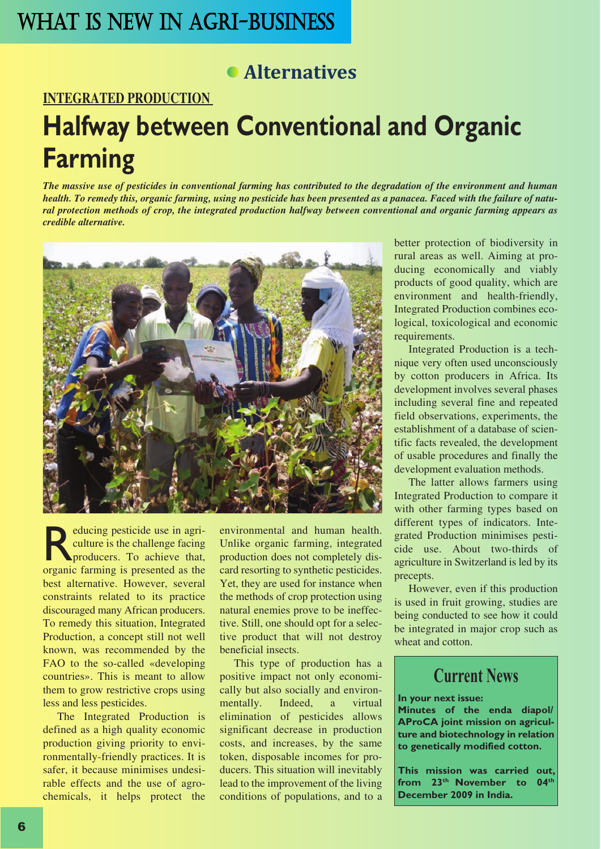# **Alternatives**

**INTEGRATED PRODUCTION**

# **Halfway between Conventional and Organic Farming**

The massive use of pesticides in conventional farming has contributed to the degradation of the environment and human health. To remedy this, organic farming, using no pesticide has been presented as a panacea. Faced with the failure of natural protection methods of crop, the integrated production halfway between conventional and organic farming appears as *credible alternative.*



Exercity estimate use in agriculture is the challenge facing<br>producers. To achieve that, culture is the challenge facing producers. To achieve that, organic farming is presented as the best alternative. However, several constraints related to its practice discouraged many African producers. To remedy this situation, Integrated Production, a concept still not well known, was recommended by the FAO to the so-called «developing countries». This is meant to allow them to grow restrictive crops using less and less pesticides.

The Integrated Production is defined as a high quality economic production giving priority to environmentally-friendly practices. It is safer, it because minimises undesirable effects and the use of agrochemicals, it helps protect the environmental and human health. Unlike organic farming, integrated production does not completely discard resorting to synthetic pesticides. Yet, they are used for instance when the methods of crop protection using natural enemies prove to be ineffective. Still, one should opt for a selective product that will not destroy beneficial insects.

This type of production has a positive impact not only economically but also socially and environmentally. Indeed, a virtual elimination of pesticides allows significant decrease in production costs, and increases, by the same token, disposable incomes for producers. This situation will inevitably lead to the improvement of the living conditions of populations, and to a better protection of biodiversity in rural areas as well. Aiming at producing economically and viably products of good quality, which are environment and health-friendly, Integrated Production combines ecological, toxicological and economic requirements.

Integrated Production is a technique very often used unconsciously by cotton producers in Africa. Its development involves several phases including several fine and repeated field observations, experiments, the establishment of a database of scientific facts revealed, the development of usable procedures and finally the development evaluation methods.

The latter allows farmers using Integrated Production to compare it with other farming types based on different types of indicators. Integrated Production minimises pesticide use. About two-thirds of agriculture in Switzerland is led by its precepts.

However, even if this production is used in fruit growing, studies are being conducted to see how it could be integrated in major crop such as wheat and cotton.

## **Current News**

#### **In your next issue:**

**Minutes of the enda diapol/ AProCA joint mission on agriculture and biotechnology in relation to genetically modified cotton.**

**This mission was carried out, from 23th November to 04th December 2009 in India.**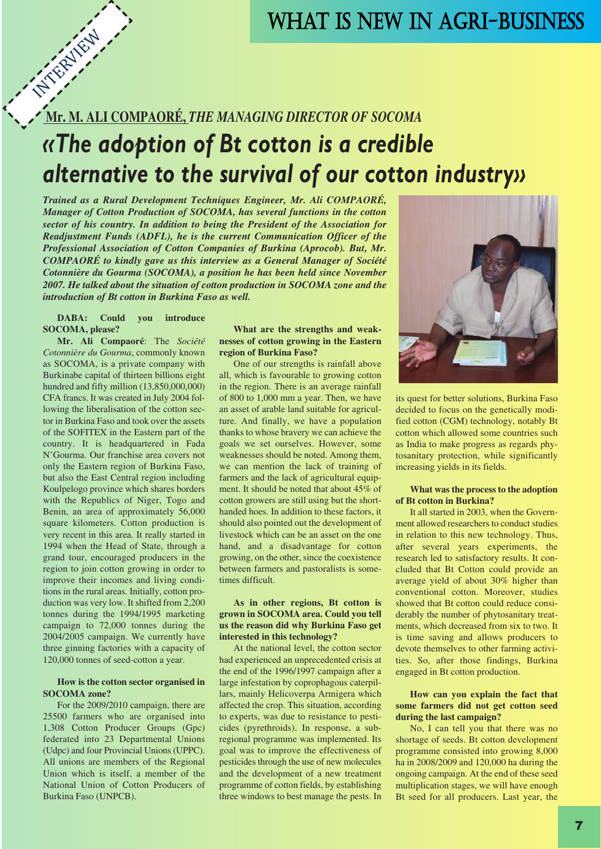# **Mr. M. ALI COMPAORÉ,** *THE MANAGING DIRECTOR OF SOCOMA* **INTERNATION**

# *«The adoption of Bt cotton is a credible alternative to the survival of our cotton industry»*

*Trained as a Rural Development Techniques Engineer, Mr. Ali COMPAORÉ, Manager of Cotton Production of SOCOMA, has several functions in the cotton sector of his country. In addition to being the President of the Association for Readjustment Funds (ADFL), he is the current Communication Officer of the Professional Association of Cotton Companies of Burkina (Aprocob). But, Mr. COMPAORÉ to kindly gave us this interview as a General Manager of Société Cotonnière du Gourma (SOCOMA), a position he has been held since November 2007. He talked about the situation of cotton production in SOCOMA zone and the introduction of Bt cotton in Burkina Faso as well.*

#### **DABA: Could you introduce SOCOMA, please?**

**Mr. Ali Compaoré**: The *Société Cotonnière du Gourma*, commonly known as SOCOMA, is a private company with Burkinabe capital of thirteen billions eight hundred and fifty million (13,850,000,000) CFA francs. It was created in July 2004 following the liberalisation of the cotton sector in Burkina Faso and took over the assets of the SOFITEX in the Eastern part of the country. It is headquartered in Fada N'Gourma. Our franchise area covers not only the Eastern region of Burkina Faso, but also the East Central region including Koulpelogo province which shares borders with the Republics of Niger, Togo and Benin, an area of approximately 56,000 square kilometers. Cotton production is very recent in this area. It really started in 1994 when the Head of State, through a grand tour, encouraged producers in the region to join cotton growing in order to improve their incomes and living conditions in the rural areas. Initially, cotton production was very low. It shifted from 2,200 tonnes during the 1994/1995 marketing campaign to 72,000 tonnes during the 2004/2005 campaign. We currently have three ginning factories with a capacity of 120,000 tonnes of seed-cotton a year.

#### **How is the cotton sector organised in SOCOMA zone?**

For the 2009/2010 campaign, there are 25500 farmers who are organised into 1,308 Cotton Producer Groups (Gpc) federated into 23 Departmental Unions (Udpc) and four Provincial Unions (UPPC). All unions are members of the Regional Union which is itself, a member of the National Union of Cotton Producers of Burkina Faso (UNPCB).

#### **What are the strengths and weaknesses of cotton growing in the Eastern region of Burkina Faso?**

One of our strengths is rainfall above all, which is favourable to growing cotton in the region. There is an average rainfall of 800 to 1,000 mm a year. Then, we have an asset of arable land suitable for agriculture. And finally, we have a population thanks to whose bravery we can achieve the goals we set ourselves. However, some weaknesses should be noted. Among them, we can mention the lack of training of farmers and the lack of agricultural equipment. It should be noted that about 45% of cotton growers are still using but the shorthanded hoes. In addition to these factors, it should also pointed out the development of livestock which can be an asset on the one hand, and a disadvantage for cotton growing, on the other, since the coexistence between farmers and pastoralists is sometimes difficult.

#### **As in other regions, Bt cotton is grown in SOCOMA area. Could you tell us the reason did why Burkina Faso get interested in this technology?**

At the national level, the cotton sector had experienced an unprecedented crisis at the end of the 1996/1997 campaign after a large infestation by coprophagous caterpillars, mainly Helicoverpa Armigera which affected the crop. This situation, according to experts, was due to resistance to pesticides (pyrethroids). In response, a subregional programme was implemented. Its goal was to improve the effectiveness of pesticides through the use of new molecules and the development of a new treatment programme of cotton fields, by establishing three windows to best manage the pests. In



its quest for better solutions, Burkina Faso decided to focus on the genetically modified cotton (CGM) technology, notably Bt cotton which allowed some countries such as India to make progress as regards phytosanitary protection, while significantly increasing yields in its fields.

#### **What was the process to the adoption of Bt cotton in Burkina?**

It all started in 2003, when the Government allowed researchers to conduct studies in relation to this new technology. Thus, after several years experiments, the research led to satisfactory results. It concluded that Bt Cotton could provide an average yield of about 30% higher than conventional cotton. Moreover, studies showed that Bt cotton could reduce considerably the number of phytosanitary treatments, which decreased from six to two. It is time saving and allows producers to devote themselves to other farming activities. So, after those findings, Burkina engaged in Bt cotton production.

#### **How can you explain the fact that some farmers did not get cotton seed during the last campaign?**

No, I can tell you that there was no shortage of seeds. Bt cotton development programme consisted into growing 8,000 ha in 2008/2009 and 120,000 ha during the ongoing campaign. At the end of these seed multiplication stages, we will have enough Bt seed for all producers. Last year, the